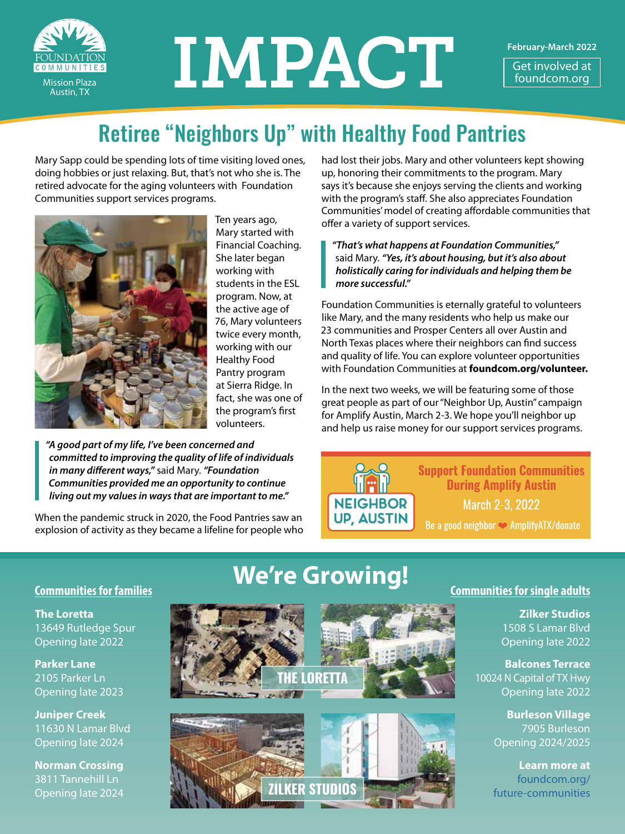

# IMPACT

**February-March 2022**

Get involved at foundcom.org

### Retiree "Neighbors Up" with Healthy Food Pantries

Mary Sapp could be spending lots of time visiting loved ones, doing hobbies or just relaxing. But, that's not who she is. The retired advocate for the aging volunteers with Foundation Communities support services programs.



Ten years ago, Mary started with Financial Coaching. She later began working with students in the ESL program. Now, at the active age of 76, Mary volunteers twice every month, working with our Healthy Food Pantry program at Sierra Ridge. In fact, she was one of the program's first volunteers.

*"A good part of my life, I've been concerned and committed to improving the quality of life of individuals in many different ways,"* said Mary. *"Foundation Communities provided me an opportunity to continue living out my values in ways that are important to me."*

When the pandemic struck in 2020, the Food Pantries saw an explosion of activity as they became a lifeline for people who had lost their jobs. Mary and other volunteers kept showing up, honoring their commitments to the program. Mary says it's because she enjoys serving the clients and working with the program's staff. She also appreciates Foundation Communities' model of creating affordable communities that offer a variety of support services.

*"That's what happens at Foundation Communities,"* said Mary. *"Yes, it's about housing, but it's also about holistically caring for individuals and helping them be more successful."*

Foundation Communities is eternally grateful to volunteers like Mary, and the many residents who help us make our 23 communities and Prosper Centers all over Austin and North Texas places where their neighbors can find success and quality of life. You can explore volunteer opportunities with Foundation Communities at **[foundcom.org/volunteer.](https://foundcom.org/get-involved/volunteer/)**

In the next two weeks, we will be featuring some of those great people as part of our "Neighbor Up, Austin" campaign for Amplify Austin, March 2-3. We hope you'll neighbor up and help us raise money for our support services programs.



**Support Foundation Communities During Amplify Austin March 2-3, 2022** 

Be a good neighbor C Amplify ATX/donate

**The Loretta** 13649 Rutledge Spur Opening late 2022

**Parker Lane** 2105 Parker Ln Opening late 2023

**Juniper Creek** 11630 N Lamar Blvd Opening late 2024

**Norman Crossing** 3811 Tannehill Ln Opening late 2024

## **We're Growing! Communities for families**





#### **Communities for single adults**

**Zilker Studios** 1508 S Lamar Blvd Opening late 2022

**Balcones Terrace** 10024 N Capital of TX Hwy Opening late 2022

> **Burleson Village** 7905 Burleson Opening 2024/2025

**Learn more at**  foundcom.org/